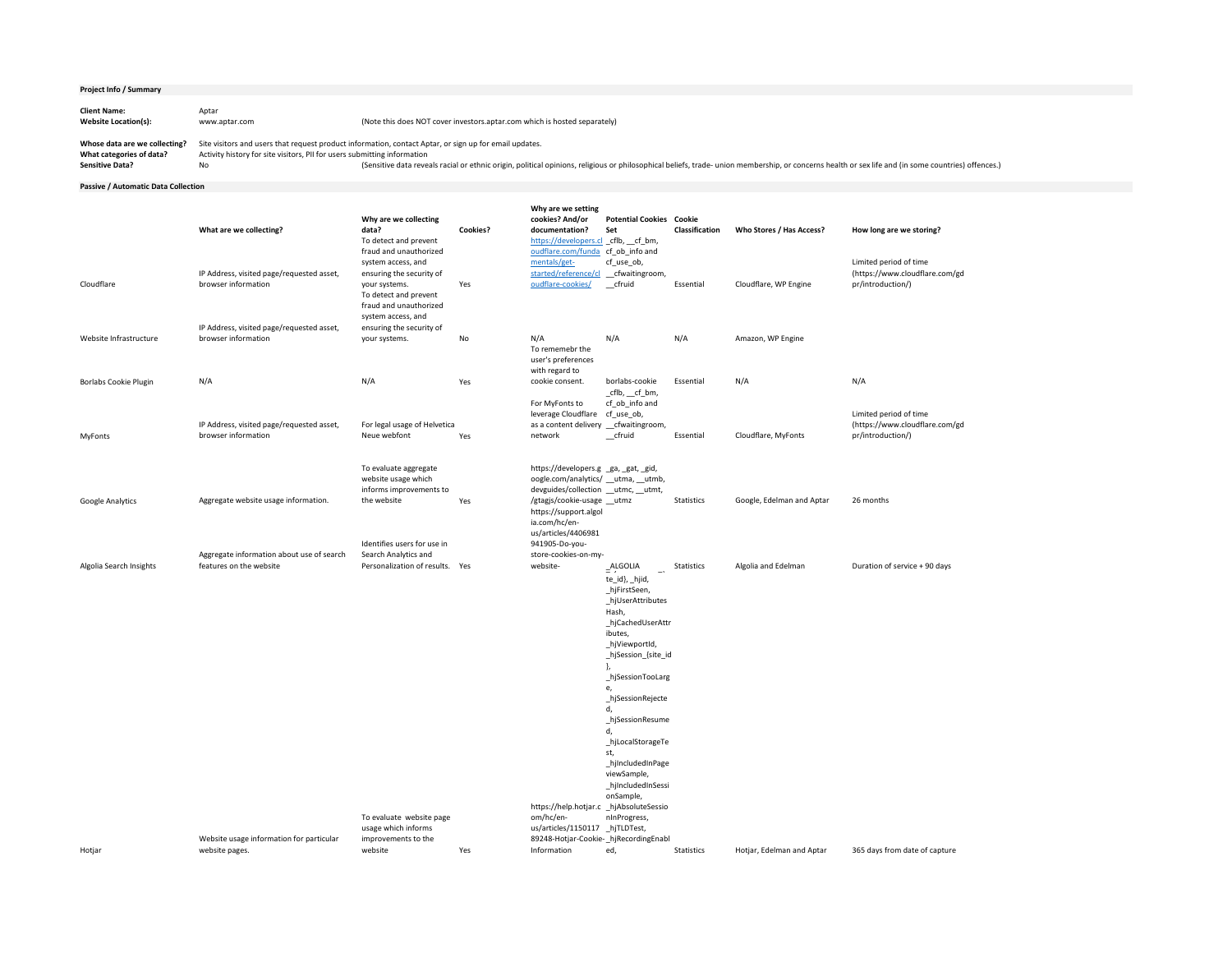| <b>Project Info / Summary</b>                             |                        |                                                                                                                                                                                    |
|-----------------------------------------------------------|------------------------|------------------------------------------------------------------------------------------------------------------------------------------------------------------------------------|
| <b>Client Name:</b><br><b>Website Location(s):</b>        | Aptar<br>www.aptar.com | (Note this does NOT cover investors.aptar.com which is hosted separately)                                                                                                          |
| Whose data are we collecting?<br>What categories of data? |                        | Site visitors and users that request product information, contact Aptar, or sign up for email updates.<br>Activity history for site visitors, PII for users submitting information |

**Passive / Automatic Data Collection**

|                              | What are we collecting?                                              | Why are we collecting<br>data?<br>To detect and prevent<br>fraud and unauthorized                                                        | <b>Cookies?</b> | Why are we setting<br>cookies? And/or<br>documentation?<br>https://developers.cl _cflb, _cf_bm,<br>oudflare.com/funda cf_ob_info and                                                                               | <b>Potential Cookies</b><br>Set                                                                                                                                                                                                                                                                                                                          | Cookie<br>Classification | Who Stores / Has Access?  | How long are we storing?                                                      |
|------------------------------|----------------------------------------------------------------------|------------------------------------------------------------------------------------------------------------------------------------------|-----------------|--------------------------------------------------------------------------------------------------------------------------------------------------------------------------------------------------------------------|----------------------------------------------------------------------------------------------------------------------------------------------------------------------------------------------------------------------------------------------------------------------------------------------------------------------------------------------------------|--------------------------|---------------------------|-------------------------------------------------------------------------------|
| Cloudflare                   | IP Address, visited page/requested asset,<br>browser information     | system access, and<br>ensuring the security of<br>your systems.<br>To detect and prevent<br>fraud and unauthorized<br>system access, and | Yes             | mentals/get-<br>started/reference/cl<br>oudflare-cookies/                                                                                                                                                          | cf_use_ob,<br>_cfwaitingroom,<br>$_{\rm{effuid}}$                                                                                                                                                                                                                                                                                                        | Essential                | Cloudflare, WP Engine     | Limited period of time<br>(https://www.cloudflare.com/gd<br>pr/introduction/) |
| Website Infrastructure       | IP Address, visited page/requested asset,<br>browser information     | ensuring the security of<br>your systems.                                                                                                | No              | N/A<br>To rememebr the<br>user's preferences                                                                                                                                                                       | N/A                                                                                                                                                                                                                                                                                                                                                      | N/A                      | Amazon, WP Engine         |                                                                               |
| <b>Borlabs Cookie Plugin</b> | N/A                                                                  | N/A                                                                                                                                      | Yes             | with regard to<br>cookie consent.<br>For MyFonts to<br>leverage Cloudflare                                                                                                                                         | borlabs-cookie<br>$_{\rm c}$ cflb, $_{\rm c}$ cf $_{\rm b}$ m,<br>cf_ob_info and<br>cf_use_ob,                                                                                                                                                                                                                                                           | Essential                | N/A                       | N/A<br>Limited period of time                                                 |
| MyFonts                      | IP Address, visited page/requested asset,<br>browser information     | For legal usage of Helvetica<br>Neue webfont                                                                                             | Yes             | as a content delivery _cfwaitingroom,<br>network                                                                                                                                                                   | $_{\rm{effuid}}$                                                                                                                                                                                                                                                                                                                                         | Essential                | Cloudflare, MyFonts       | (https://www.cloudflare.com/gd<br>pr/introduction/)                           |
| Google Analytics             | Aggregate website usage information.                                 | To evaluate aggregate<br>website usage which<br>informs improvements to<br>the website                                                   | Yes             | https://developers.g ga, gat, gid,<br>oogle.com/analytics/ __utma, __utmb,<br>devguides/collection __utmc, __utmt,<br>/gtagjs/cookie-usage __utmz<br>https://support.algol<br>ia.com/hc/en-<br>us/articles/4406981 |                                                                                                                                                                                                                                                                                                                                                          | Statistics               | Google, Edelman and Aptar | 26 months                                                                     |
| Algolia Search Insights      | Aggregate information about use of search<br>features on the website | Identifies users for use in<br>Search Analytics and<br>Personalization of results. Yes                                                   |                 | 941905-Do-you-<br>store-cookies-on-my-<br>website-<br>https://help.hotjar.c _hjAbsoluteSessio                                                                                                                      | $\overline{=}$ <sup>ALGOLIA</sup><br>$-\cdot$<br>te_id}, _hjid,<br>_hjFirstSeen,<br>_hjUserAttributes<br>Hash,<br>_hjCachedUserAttr<br>ibutes,<br>_hjViewportId,<br>_hjSession_{site_id<br>_hjSessionTooLarg<br>_hjSessionRejecte<br>_hjSessionResume<br>_hjLocalStorageTe<br>st,<br>_hjIncludedInPage<br>viewSample,<br>_hjIncludedInSessi<br>onSample, | Statistics               | Algolia and Edelman       | Duration of service + 90 days                                                 |
| Hotjar                       | Website usage information for particular<br>website pages.           | To evaluate website page<br>usage which informs<br>improvements to the<br>website                                                        | Yes             | om/hc/en-<br>us/articles/1150117 _hjTLDTest,<br>89248-Hotjar-Cookie- hjRecordingEnabl<br>Information                                                                                                               | nInProgress,<br>ed,                                                                                                                                                                                                                                                                                                                                      | Statistics               | Hotjar, Edelman and Aptar | 365 days from date of capture                                                 |

Sensitive Data? No No Sensitive data reveals racial or ethnic origin, political opinions, religious or philosophical beliefs, trade- union membership, or concerns health or sex life and (in some countries) offences.) Sensi